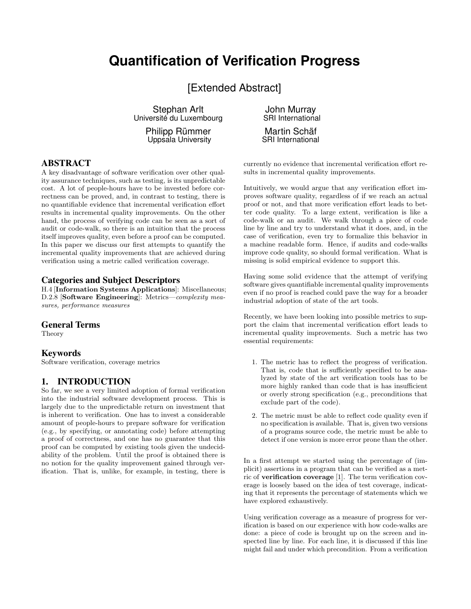# **Quantification of Verification Progress**

[Extended Abstract]

Stephan Arlt Université du Luxembourg

> Philipp Rümmer Uppsala University

## ABSTRACT

A key disadvantage of software verification over other quality assurance techniques, such as testing, is its unpredictable cost. A lot of people-hours have to be invested before correctness can be proved, and, in contrast to testing, there is no quantifiable evidence that incremental verification effort results in incremental quality improvements. On the other hand, the process of verifying code can be seen as a sort of audit or code-walk, so there is an intuition that the process itself improves quality, even before a proof can be computed. In this paper we discuss our first attempts to quantify the incremental quality improvements that are achieved during verification using a metric called verification coverage.

### Categories and Subject Descriptors

H.4 [Information Systems Applications]: Miscellaneous; D.2.8 **[Software Engineering**]: Metrics—complexity measures, performance measures

#### General Terms

Theory

#### Keywords

Software verification, coverage metrics

#### 1. INTRODUCTION

So far, we see a very limited adoption of formal verification into the industrial software development process. This is largely due to the unpredictable return on investment that is inherent to verification. One has to invest a considerable amount of people-hours to prepare software for verification (e.g., by specifying, or annotating code) before attempting a proof of correctness, and one has no guarantee that this proof can be computed by existing tools given the undecidability of the problem. Until the proof is obtained there is no notion for the quality improvement gained through verification. That is, unlike, for example, in testing, there is

John Murray SRI International

Martin Schäf SRI International

currently no evidence that incremental verification effort results in incremental quality improvements.

Intuitively, we would argue that any verification effort improves software quality, regardless of if we reach an actual proof or not, and that more verification effort leads to better code quality. To a large extent, verification is like a code-walk or an audit. We walk through a piece of code line by line and try to understand what it does, and, in the case of verification, even try to formalize this behavior in a machine readable form. Hence, if audits and code-walks improve code quality, so should formal verification. What is missing is solid empirical evidence to support this.

Having some solid evidence that the attempt of verifying software gives quantifiable incremental quality improvements even if no proof is reached could pave the way for a broader industrial adoption of state of the art tools.

Recently, we have been looking into possible metrics to support the claim that incremental verification effort leads to incremental quality improvements. Such a metric has two essential requirements:

- 1. The metric has to reflect the progress of verification. That is, code that is sufficiently specified to be analyzed by state of the art verification tools has to be more highly ranked than code that is has insufficient or overly strong specification (e.g., preconditions that exclude part of the code).
- 2. The metric must be able to reflect code quality even if no specification is available. That is, given two versions of a programs source code, the metric must be able to detect if one version is more error prone than the other.

In a first attempt we started using the percentage of (implicit) assertions in a program that can be verified as a metric of verification coverage [1]. The term verification coverage is loosely based on the idea of test coverage, indicating that it represents the percentage of statements which we have explored exhaustively.

Using verification coverage as a measure of progress for verification is based on our experience with how code-walks are done: a piece of code is brought up on the screen and inspected line by line. For each line, it is discussed if this line might fail and under which precondition. From a verification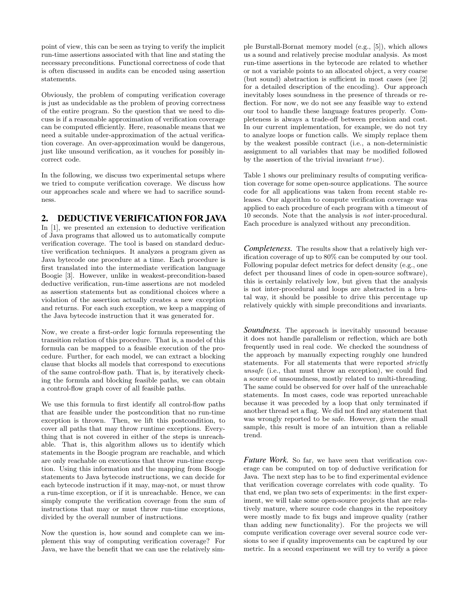point of view, this can be seen as trying to verify the implicit run-time assertions associated with that line and stating the necessary preconditions. Functional correctness of code that is often discussed in audits can be encoded using assertion statements.

Obviously, the problem of computing verification coverage is just as undecidable as the problem of proving correctness of the entire program. So the question that we need to discuss is if a reasonable approximation of verification coverage can be computed efficiently. Here, reasonable means that we need a suitable under-approximation of the actual verification coverage. An over-approximation would be dangerous, just like unsound verification, as it vouches for possibly incorrect code.

In the following, we discuss two experimental setups where we tried to compute verification coverage. We discuss how our approaches scale and where we had to sacrifice soundness.

#### 2. DEDUCTIVE VERIFICATION FOR JAVA

In [1], we presented an extension to deductive verification of Java programs that allowed us to automatically compute verification coverage. The tool is based on standard deductive verification techniques. It analyzes a program given as Java bytecode one procedure at a time. Each procedure is first translated into the intermediate verification language Boogie [3]. However, unlike in weakest-precondition-based deductive verification, run-time assertions are not modeled as assertion statements but as conditional choices where a violation of the assertion actually creates a new exception and returns. For each such exception, we keep a mapping of the Java bytecode instruction that it was generated for.

Now, we create a first-order logic formula representing the transition relation of this procedure. That is, a model of this formula can be mapped to a feasible execution of the procedure. Further, for each model, we can extract a blocking clause that blocks all models that correspond to executions of the same control-flow path. That is, by iteratively checking the formula and blocking feasible paths, we can obtain a control-flow graph cover of all feasible paths.

We use this formula to first identify all control-flow paths that are feasible under the postcondition that no run-time exception is thrown. Then, we lift this postcondition, to cover all paths that may throw runtime exceptions. Everything that is not covered in either of the steps is unreachable. That is, this algorithm allows us to identify which statements in the Boogie program are reachable, and which are only reachable on executions that throw run-time exception. Using this information and the mapping from Boogie statements to Java bytecode instructions, we can decide for each bytecode instruction if it may, may-not, or must throw a run-time exception, or if it is unreachable. Hence, we can simply compute the verification coverage from the sum of instructions that may or must throw run-time exceptions, divided by the overall number of instructions.

Now the question is, how sound and complete can we implement this way of computing verification coverage? For Java, we have the benefit that we can use the relatively simple Burstall-Bornat memory model (e.g., [5]), which allows us a sound and relatively precise modular analysis. As most run-time assertions in the bytecode are related to whether or not a variable points to an allocated object, a very coarse (but sound) abstraction is sufficient in most cases (see [2] for a detailed description of the encoding). Our approach inevitably loses soundness in the presence of threads or reflection. For now, we do not see any feasible way to extend our tool to handle these language features properly. Completeness is always a trade-off between precision and cost. In our current implementation, for example, we do not try to analyze loops or function calls. We simply replace them by the weakest possible contract (i.e., a non-deterministic assignment to all variables that may be modified followed by the assertion of the trivial invariant true).

Table 1 shows our preliminary results of computing verification coverage for some open-source applications. The source code for all applications was taken from recent stable releases. Our algorithm to compute verification coverage was applied to each procedure of each program with a timeout of 10 seconds. Note that the analysis is not inter-procedural. Each procedure is analyzed without any precondition.

*Completeness.* The results show that a relatively high verification coverage of up to 80% can be computed by our tool. Following popular defect metrics for defect density (e.g., one defect per thousand lines of code in open-source software), this is certainly relatively low, but given that the analysis is not inter-procedural and loops are abstracted in a brutal way, it should be possible to drive this percentage up relatively quickly with simple preconditions and invariants.

*Soundness.* The approach is inevitably unsound because it does not handle parallelism or reflection, which are both frequently used in real code. We checked the soundness of the approach by manually expecting roughly one hundred statements. For all statements that were reported strictly unsafe (i.e., that must throw an exception), we could find a source of unsoundness, mostly related to multi-threading. The same could be observed for over half of the unreachable statements. In most cases, code was reported unreachable because it was preceded by a loop that only terminated if another thread set a flag. We did not find any statement that was wrongly reported to be safe. However, given the small sample, this result is more of an intuition than a reliable trend.

*Future Work.* So far, we have seen that verification coverage can be computed on top of deductive verification for Java. The next step has to be to find experimental evidence that verification coverage correlates with code quality. To that end, we plan two sets of experiments: in the first experiment, we will take some open-source projects that are relatively mature, where source code changes in the repository were mostly made to fix bugs and improve quality (rather than adding new functionality). For the projects we will compute verification coverage over several source code versions to see if quality improvements can be captured by our metric. In a second experiment we will try to verify a piece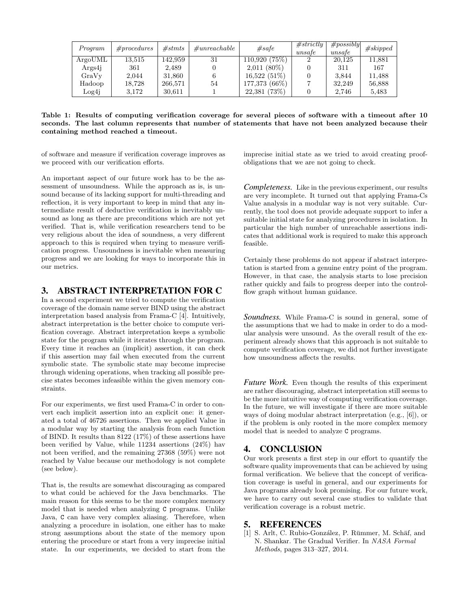| Program        | $\#procedures$ | #stmts  | $\#unreachable$ | #safe          | #strictly<br>unsafe | $\#possibly$<br>unsafe | #skipped |
|----------------|----------------|---------|-----------------|----------------|---------------------|------------------------|----------|
| ArgoUML        | 13,515         | 142,959 | 31              | 110,920(75%)   |                     | 20.125                 | 11.881   |
| Args4 <i>i</i> | 361            | 2.489   |                 | $2,011(80\%)$  |                     | 311                    | 167      |
| GraVy          | 2.044          | 31,860  |                 | $16,522(51\%)$ |                     | 3.844                  | 11,488   |
| Hadoop         | 18,728         | 266,571 | 54              | 177,373 (66%)  |                     | 32,249                 | 56,888   |
| Log4j          | 3.172          | 30.611  |                 | 22,381(73%)    |                     | 2.746                  | 5,483    |

Table 1: Results of computing verification coverage for several pieces of software with a timeout after 10 seconds. The last column represents that number of statements that have not been analyzed because their containing method reached a timeout.

of software and measure if verification coverage improves as we proceed with our verification efforts.

imprecise initial state as we tried to avoid creating proofobligations that we are not going to check.

An important aspect of our future work has to be the assessment of unsoundness. While the approach as is, is unsound because of its lacking support for multi-threading and reflection, it is very important to keep in mind that any intermediate result of deductive verification is inevitably unsound as long as there are preconditions which are not yet verified. That is, while verification researchers tend to be very religious about the idea of soundness, a very different approach to this is required when trying to measure verification progress. Unsoundness is inevitable when measuring progress and we are looking for ways to incorporate this in our metrics.

## 3. ABSTRACT INTERPRETATION FOR C

In a second experiment we tried to compute the verification coverage of the domain name server BIND using the abstract interpretation based analysis from Frama-C [4]. Intuitively, abstract interpretation is the better choice to compute verification coverage. Abstract interpretation keeps a symbolic state for the program while it iterates through the program. Every time it reaches an (implicit) assertion, it can check if this assertion may fail when executed from the current symbolic state. The symbolic state may become imprecise through widening operations, when tracking all possible precise states becomes infeasible within the given memory constraints.

For our experiments, we first used Frama-C in order to convert each implicit assertion into an explicit one: it generated a total of 46726 assertions. Then we applied Value in a modular way by starting the analysis from each function of BIND. It results than 8122 (17%) of these assertions have been verified by Value, while 11234 assertions (24%) hav not been verified, and the remaining 27368 (59%) were not reached by Value because our methodology is not complete (see below).

That is, the results are somewhat discouraging as compared to what could be achieved for the Java benchmarks. The main reason for this seems to be the more complex memory model that is needed when analyzing C programs. Unlike Java, C can have very complex aliasing. Therefore, when analyzing a procedure in isolation, one either has to make strong assumptions about the state of the memory upon entering the procedure or start from a very imprecise initial state. In our experiments, we decided to start from the

*Completeness.* Like in the previous experiment, our results are very incomplete. It turned out that applying Frama-Cs Value analysis in a modular way is not very suitable. Currently, the tool does not provide adequate support to infer a suitable initial state for analyzing procedures in isolation. In particular the high number of unreachable assertions indicates that additional work is required to make this approach feasible.

Certainly these problems do not appear if abstract interpretation is started from a genuine entry point of the program. However, in that case, the analysis starts to lose precision rather quickly and fails to progress deeper into the controlflow graph without human guidance.

*Soundness.* While Frama-C is sound in general, some of the assumptions that we had to make in order to do a modular analysis were unsound. As the overall result of the experiment already shows that this approach is not suitable to compute verification coverage, we did not further investigate how unsoundness affects the results.

*Future Work.* Even though the results of this experiment are rather discouraging, abstract interpretation still seems to be the more intuitive way of computing verification coverage. In the future, we will investigate if there are more suitable ways of doing modular abstract interpretation (e.g., [6]), or if the problem is only rooted in the more complex memory model that is needed to analyze C programs.

## 4. CONCLUSION

Our work presents a first step in our effort to quantify the software quality improvements that can be achieved by using formal verification. We believe that the concept of verification coverage is useful in general, and our experiments for Java programs already look promising. For our future work, we have to carry out several case studies to validate that verification coverage is a robust metric.

## 5. REFERENCES

[1] S. Arlt, C. Rubio-González, P. Rümmer, M. Schäf, and N. Shankar. The Gradual Verifier. In NASA Formal Methods, pages 313–327, 2014.